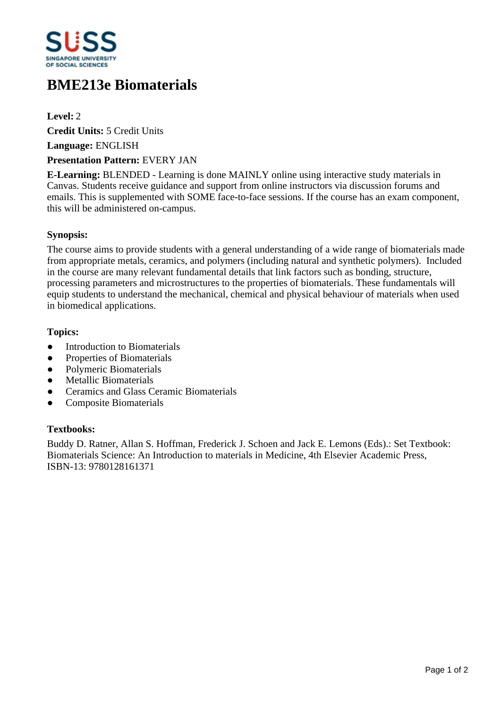

# **BME213e Biomaterials**

**Level:** 2

**Credit Units:** 5 Credit Units

**Language:** ENGLISH

## **Presentation Pattern:** EVERY JAN

**E-Learning:** BLENDED - Learning is done MAINLY online using interactive study materials in Canvas. Students receive guidance and support from online instructors via discussion forums and emails. This is supplemented with SOME face-to-face sessions. If the course has an exam component, this will be administered on-campus.

# **Synopsis:**

The course aims to provide students with a general understanding of a wide range of biomaterials made from appropriate metals, ceramics, and polymers (including natural and synthetic polymers). Included in the course are many relevant fundamental details that link factors such as bonding, structure, processing parameters and microstructures to the properties of biomaterials. These fundamentals will equip students to understand the mechanical, chemical and physical behaviour of materials when used in biomedical applications.

### **Topics:**

- Introduction to Biomaterials
- Properties of Biomaterials
- Polymeric Biomaterials
- Metallic Biomaterials
- ƔCeramics and Glass Ceramic Biomaterials
- Composite Biomaterials

# **Textbooks:**

Buddy D. Ratner, Allan S. Hoffman, Frederick J. Schoen and Jack E. Lemons (Eds).: Set Textbook: Biomaterials Science: An Introduction to materials in Medicine, 4th Elsevier Academic Press, ISBN-13: 9780128161371